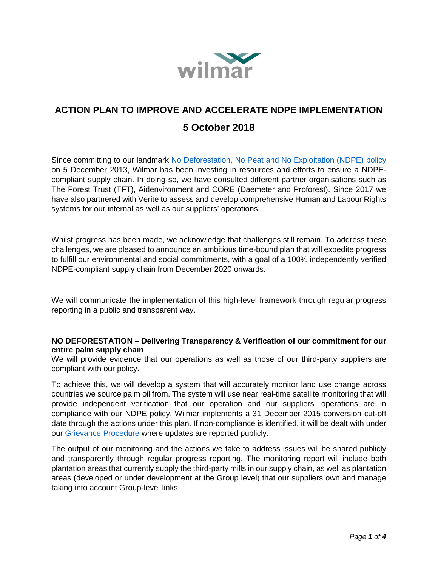

# **ACTION PLAN TO IMPROVE AND ACCELERATE NDPE IMPLEMENTATION 5 October 2018**

Since committing to our landmark [No Deforestation, No Peat and No Exploitation \(NDPE\) policy](http://www.wilmar-international.com/sustainability/wp-content/uploads/2012/11/No-Deforestation-No-Peat-No-Exploitation-Policy.pdf) on 5 December 2013, Wilmar has been investing in resources and efforts to ensure a NDPEcompliant supply chain. In doing so, we have consulted different partner organisations such as The Forest Trust (TFT), Aidenvironment and CORE (Daemeter and Proforest). Since 2017 we have also partnered with Verite to assess and develop comprehensive Human and Labour Rights systems for our internal as well as our suppliers' operations.

Whilst progress has been made, we acknowledge that challenges still remain. To address these challenges, we are pleased to announce an ambitious time-bound plan that will expedite progress to fulfill our environmental and social commitments, with a goal of a 100% independently verified NDPE-compliant supply chain from December 2020 onwards.

We will communicate the implementation of this high-level framework through regular progress reporting in a public and transparent way.

#### **NO DEFORESTATION – Delivering Transparency & Verification of our commitment for our entire palm supply chain**

We will provide evidence that our operations as well as those of our third-party suppliers are compliant with our policy.

To achieve this, we will develop a system that will accurately monitor land use change across countries we source palm oil from. The system will use near real-time satellite monitoring that will provide independent verification that our operation and our suppliers' operations are in compliance with our NDPE policy. Wilmar implements a 31 December 2015 conversion cut-off date through the actions under this plan. If non-compliance is identified, it will be dealt with under our [Grievance Procedure](http://www.wilmar-international.com/sustainability/grievance-procedure/) where updates are reported publicly.

The output of our monitoring and the actions we take to address issues will be shared publicly and transparently through regular progress reporting. The monitoring report will include both plantation areas that currently supply the third-party mills in our supply chain, as well as plantation areas (developed or under development at the Group level) that our suppliers own and manage taking into account Group-level links.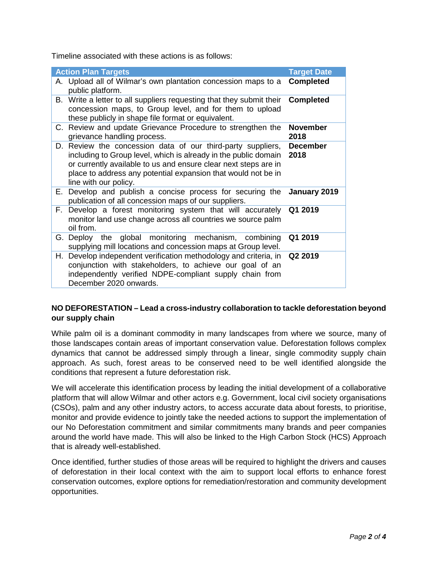Timeline associated with these actions is as follows:

| <b>Action Plan Targets</b> |                                                                                                                                                                                                                                                                                             | <b>Target Date</b>      |
|----------------------------|---------------------------------------------------------------------------------------------------------------------------------------------------------------------------------------------------------------------------------------------------------------------------------------------|-------------------------|
|                            | A. Upload all of Wilmar's own plantation concession maps to a<br>public platform.                                                                                                                                                                                                           | <b>Completed</b>        |
| В.                         | Write a letter to all suppliers requesting that they submit their<br>concession maps, to Group level, and for them to upload<br>these publicly in shape file format or equivalent.                                                                                                          | <b>Completed</b>        |
|                            | C. Review and update Grievance Procedure to strengthen the<br>grievance handling process.                                                                                                                                                                                                   | <b>November</b><br>2018 |
|                            | D. Review the concession data of our third-party suppliers,<br>including to Group level, which is already in the public domain<br>or currently available to us and ensure clear next steps are in<br>place to address any potential expansion that would not be in<br>line with our policy. | <b>December</b><br>2018 |
| Е.                         | Develop and publish a concise process for securing the<br>publication of all concession maps of our suppliers.                                                                                                                                                                              | January 2019            |
| F.                         | Develop a forest monitoring system that will accurately<br>monitor land use change across all countries we source palm<br>oil from.                                                                                                                                                         | Q1 2019                 |
|                            | G. Deploy the global monitoring mechanism, combining<br>supplying mill locations and concession maps at Group level.                                                                                                                                                                        | Q1 2019                 |
|                            | H. Develop independent verification methodology and criteria, in Q2 2019<br>conjunction with stakeholders, to achieve our goal of an<br>independently verified NDPE-compliant supply chain from<br>December 2020 onwards.                                                                   |                         |

### **NO DEFORESTATION – Lead a cross-industry collaboration to tackle deforestation beyond our supply chain**

While palm oil is a dominant commodity in many landscapes from where we source, many of those landscapes contain areas of important conservation value. Deforestation follows complex dynamics that cannot be addressed simply through a linear, single commodity supply chain approach. As such, forest areas to be conserved need to be well identified alongside the conditions that represent a future deforestation risk.

We will accelerate this identification process by leading the initial development of a collaborative platform that will allow Wilmar and other actors e.g. Government, local civil society organisations (CSOs), palm and any other industry actors, to access accurate data about forests, to prioritise, monitor and provide evidence to jointly take the needed actions to support the implementation of our No Deforestation commitment and similar commitments many brands and peer companies around the world have made. This will also be linked to the High Carbon Stock (HCS) Approach that is already well-established.

Once identified, further studies of those areas will be required to highlight the drivers and causes of deforestation in their local context with the aim to support local efforts to enhance forest conservation outcomes, explore options for remediation/restoration and community development opportunities.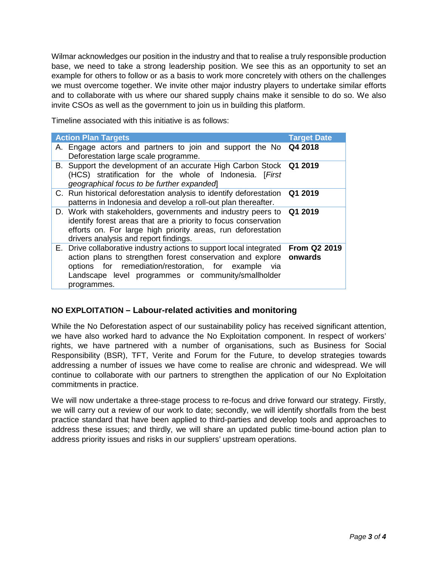Wilmar acknowledges our position in the industry and that to realise a truly responsible production base, we need to take a strong leadership position. We see this as an opportunity to set an example for others to follow or as a basis to work more concretely with others on the challenges we must overcome together. We invite other major industry players to undertake similar efforts and to collaborate with us where our shared supply chains make it sensible to do so. We also invite CSOs as well as the government to join us in building this platform.

Timeline associated with this initiative is as follows:

| <b>Action Plan Targets</b> |                                                                                                                                                                                                                                                                                      | <b>Target Date</b> |
|----------------------------|--------------------------------------------------------------------------------------------------------------------------------------------------------------------------------------------------------------------------------------------------------------------------------------|--------------------|
|                            | A. Engage actors and partners to join and support the No Q4 2018<br>Deforestation large scale programme.                                                                                                                                                                             |                    |
|                            | B. Support the development of an accurate High Carbon Stock Q1 2019<br>(HCS) stratification for the whole of Indonesia. [First]<br>geographical focus to be further expanded                                                                                                         |                    |
|                            | C. Run historical deforestation analysis to identify deforestation Q1 2019<br>patterns in Indonesia and develop a roll-out plan thereafter.                                                                                                                                          |                    |
|                            | D. Work with stakeholders, governments and industry peers to Q1 2019<br>identify forest areas that are a priority to focus conservation<br>efforts on. For large high priority areas, run deforestation<br>drivers analysis and report findings.                                     |                    |
|                            | E. Drive collaborative industry actions to support local integrated From Q2 2019<br>action plans to strengthen forest conservation and explore onwards<br>options for remediation/restoration, for example via<br>Landscape level programmes or community/smallholder<br>programmes. |                    |

## **NO EXPLOITATION** *–* **Labour-related activities and monitoring**

While the No Deforestation aspect of our sustainability policy has received significant attention, we have also worked hard to advance the No Exploitation component. In respect of workers' rights, we have partnered with a number of organisations, such as Business for Social Responsibility (BSR), TFT, Verite and Forum for the Future, to develop strategies towards addressing a number of issues we have come to realise are chronic and widespread. We will continue to collaborate with our partners to strengthen the application of our No Exploitation commitments in practice.

We will now undertake a three-stage process to re-focus and drive forward our strategy. Firstly, we will carry out a review of our work to date; secondly, we will identify shortfalls from the best practice standard that have been applied to third-parties and develop tools and approaches to address these issues; and thirdly, we will share an updated public time-bound action plan to address priority issues and risks in our suppliers' upstream operations.